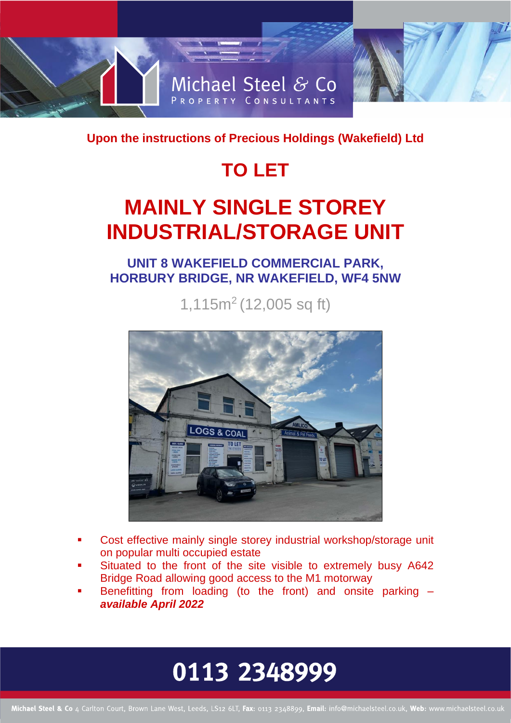

**Upon the instructions of Precious Holdings (Wakefield) Ltd** 

## **TO LET**

## **MAINLY SINGLE STOREY INDUSTRIAL/STORAGE UNIT**

**UNIT 8 WAKEFIELD COMMERCIAL PARK, HORBURY BRIDGE, NR WAKEFIELD, WF4 5NW**

1,115m<sup>2</sup> (12,005 sq ft)



- Cost effective mainly single storey industrial workshop/storage unit on popular multi occupied estate
- Situated to the front of the site visible to extremely busy A642 Bridge Road allowing good access to the M1 motorway
- Benefitting from loading (to the front) and onsite parking  $$ *available April 2022*

# 0113 2348999

Michael Steel & Co 4 Carlton Court, Brown Lane West, Leeds, LS12 6LT, Fax: 0113 2348899, Email: info@michaelsteel.co.uk, Web: www.michaelsteel.co.uk